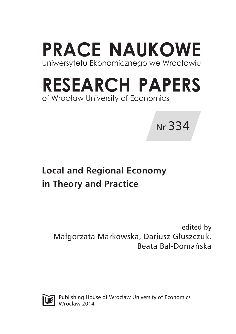**PRACE NAUKOWE** Uniwersytetu Ekonomicznego we Wrocławiu

# **RESEARCH PAPERS** of Wrocław University of Economics



## **Local and Regional Economy in Theory and Practice**

edited by Małgorzata Markowska, Dariusz Głuszczuk, Beata Bal-Domańska



Publishing House of Wrocław University of Economics Wrocław 2014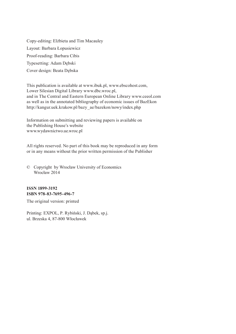Copy-editing: Elżbieta and Tim Macauley Layout: Barbara Łopusiewicz Proof-reading: Barbara Cibis Typesetting: Adam Dębski Cover design: Beata Dębska

This publication is available at www.ibuk.pl, www.ebscohost.com, Lower Silesian Digital Library www.dbc.wroc.pl, and in The Central and Eastern European Online Library www.ceeol.com as well as in the annotated bibliography of economic issues of BazEkon http://kangur.uek.krakow.pl/bazy\_ae/bazekon/nowy/index.php

Information on submitting and reviewing papers is available on the Publishing House's website www.wydawnictwo.ue.wroc.pl

All rights reserved. No part of this book may be reproduced in any form or in any means without the prior written permission of the Publisher

© Copyright by Wrocław University of Economics Wrocław 2014

#### **ISSN 1899-3192 ISBN 978-83-7695-496-7**

The original version: printed

Printing: EXPOL, P. Rybiński, J. Dąbek, sp.j. ul. Brzeska 4, 87-800 Włocławek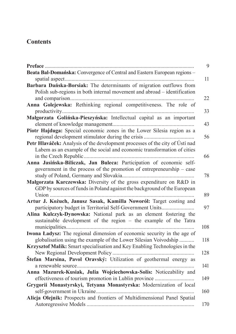## **Contents**

|                                                                              | 9   |
|------------------------------------------------------------------------------|-----|
| Beata Bal-Domańska: Convergence of Central and Eastern European regions -    |     |
|                                                                              | 11  |
| Barbara Dańska-Borsiak: The determinants of migration outflows from          |     |
| Polish sub-regions in both internal movement and abroad - identification     |     |
|                                                                              | 22  |
| Anna Golejewska: Rethinking regional competitiveness. The role of            | 33  |
| Małgorzata Golińska-Pieszyńska: Intellectual capital as an important         |     |
|                                                                              | 43  |
| Piotr Hajduga: Special economic zones in the Lower Silesia region as a       |     |
|                                                                              | 56  |
| Petr Hlaváček: Analysis of the development processes of the city of Ústí nad |     |
| Labem as an example of the social and economic transformation of cities      |     |
|                                                                              | 66  |
| Anna Jasińska-Biliczak, Jan Buleca: Participation of economic self-          |     |
| government in the process of the promotion of entrepreneurship – case        |     |
|                                                                              | 78  |
| Malgorzata Karczewska: Diversity of the gross expenditure on R&D in          |     |
| GDP by sources of funds in Poland against the background of the European     |     |
|                                                                              | 89  |
| Artur J. Kożuch, Janusz Sasak, Kamilla Noworól: Target costing and           |     |
| participatory budget in Territorial Self-Government Units                    | 97  |
| Alina Kulczyk-Dynowska: National park as an element fostering the            |     |
| sustainable development of the region - the example of the Tatra             |     |
|                                                                              | 108 |
| Iwona Ładysz: The regional dimension of economic security in the age of      |     |
| globalisation using the example of the Lower Silesian Voivodship             | 118 |
| Krzysztof Malik: Smart specialisation and Key Enabling Technologies in the   |     |
|                                                                              | 128 |
| Štefan Marsina, Pavol Oravský: Utilization of geothermal energy as           |     |
|                                                                              | 141 |
| Anna Mazurek-Kusiak, Julia Wojciechowska-Solis: Noticeability and            |     |
| Grygorii Monastyrskyi, Tetyana Monastyrska: Modernization of local           | 149 |
|                                                                              | 160 |
| Alicja Olejnik: Prospects and frontiers of Multidimensional Panel Spatial    |     |
|                                                                              | 170 |
|                                                                              |     |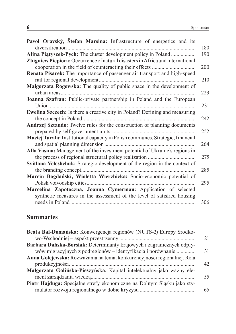| Pavol Oravský, Štefan Marsina: Infrastructure of energetics and its                | 180 |
|------------------------------------------------------------------------------------|-----|
| Alina Piątyszek-Pych: The cluster development policy in Poland                     | 190 |
| Zbigniew Piepiora: Occurrence of natural disasters in Africa and international     | 200 |
| Renata Pisarek: The importance of passenger air transport and high-speed           | 210 |
| Małgorzata Rogowska: The quality of public space in the development of             | 223 |
| Joanna Szafran: Public-private partnership in Poland and the European              |     |
|                                                                                    | 231 |
| <b>Ewelina Szczech:</b> Is there a creative city in Poland? Defining and measuring | 242 |
| Andrzej Sztando: Twelve rules for the construction of planning documents           | 252 |
| Maciej Turala: Institutional capacity in Polish communes. Strategic, financial     | 264 |
| Alla Vasina: Management of the investment potential of Ukraine's regions in        | 275 |
| Svitlana Veleshchuk: Strategic development of the region in the context of         | 285 |
| Marcin Bogdański, Wioletta Wierzbicka: Socio-economic potential of                 |     |
|                                                                                    | 295 |
| Marcelina Zapotoczna, Joanna Cymerman: Application of selected                     |     |
| synthetic measures in the assessment of the level of satisfied housing             | 306 |

## **Summaries**

| Beata Bal-Domańska: Konwergencja regionów (NUTS-2) Europy Środko-       |    |
|-------------------------------------------------------------------------|----|
|                                                                         | 21 |
| Barbara Dańska-Borsiak: Determinanty krajowych i zagranicznych odpły-   |    |
| wów migracyjnych z podregionów – identyfikacja i porównanie             | 31 |
| Anna Golejewska: Rozważania na temat konkurencyjności regionalnej. Rola |    |
|                                                                         | 42 |
| Małgorzata Golińska-Pieszyńska: Kapitał intelektualny jako ważny ele-   |    |
|                                                                         | 55 |
| Piotr Hajduga: Specjalne strefy ekonomiczne na Dolnym Śląsku jako sty-  |    |
|                                                                         | 65 |
|                                                                         |    |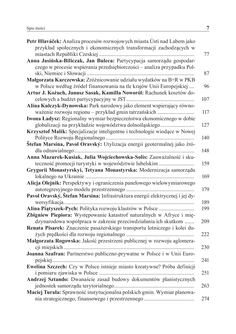| Petr Hlaváček: Analiza procesów rozwojowych miasta Ústí nad Labem jako                                                                  |
|-----------------------------------------------------------------------------------------------------------------------------------------|
| przykład społecznych i ekonomicznych transformacji zachodzących w                                                                       |
|                                                                                                                                         |
| Anna Jasińska-Biliczak, Jan Buleca: Partycypacja samorządu gospodar-                                                                    |
| czego w procesie wspierania przedsiębiorczości – analiza przypadku Pol-                                                                 |
|                                                                                                                                         |
| Małgorzata Karczewska: Zróżnicowanie udziału wydatków na B+R w PKB                                                                      |
| w Polsce według źródeł finansowania na tle krajów Unii Europejskiej                                                                     |
| Artur J. Kożuch, Janusz Sasak, Kamilla Noworól: Rachunek kosztów do-                                                                    |
|                                                                                                                                         |
| Alina Kulczyk-Dynowska: Park narodowy jako element wspierający równo-                                                                   |
| ważenie rozwoju regionu – przykład gmin tatrzańskich                                                                                    |
| Iwona Ładysz: Regionalny wymiar bezpieczeństwa ekonomicznego w dobie                                                                    |
| globalizacji na przykładzie województwa dolnośląskiego                                                                                  |
| Krzysztof Malik: Specjalizacje inteligentne i technologie wiodące w Nowej                                                               |
|                                                                                                                                         |
| Štefan Marsina, Pavol Oravský: Utylizacja energii geotermalnej jako źró-                                                                |
|                                                                                                                                         |
| Anna Mazurek-Kusiak, Julia Wojciechowska-Solis: Zauważalność i sku-                                                                     |
| teczność promocji turystyki w województwie lubelskim                                                                                    |
| Grygorii Monastyrskyi, Tetyana Monastyrska: Modernizacja samorządu                                                                      |
|                                                                                                                                         |
| Alicja Olejnik: Perspektywy i ograniczenia panelowego wielowymiarowego                                                                  |
|                                                                                                                                         |
| Pavol Oravský, Štefan Marsina: Infrastruktura energii elektrycznej i jej dy-                                                            |
|                                                                                                                                         |
| Alina Piątyszek-Pych: Polityka rozwoju klastrów w Polsce                                                                                |
| Zbigniew Piepiora: Występowanie katastrof naturalnych w Afryce i mię-<br>dzynarodowa współpraca w zakresie przeciwdziałania ich skutkom |
| Renata Pisarek: Znaczenie pasażerskiego transportu lotniczego i kolei du-                                                               |
|                                                                                                                                         |
| Małgorzata Rogowska: Jakość przestrzeni publicznej w rozwoju aglomera-                                                                  |
|                                                                                                                                         |
| Joanna Szafran: Partnerstwo publiczno-prywatne w Polsce i w Unii Euro-                                                                  |
|                                                                                                                                         |
| Ewelina Szczech: Czy w Polsce istnieje miasto kreatywne? Próba definicji                                                                |
|                                                                                                                                         |
| Andrzej Sztando: Dwanaście zasad budowy dokumentów planistycznych                                                                       |
|                                                                                                                                         |
| Maciej Turała: Sprawność instytucjonalna polskich gmin. Wymiar planowa-                                                                 |
|                                                                                                                                         |
|                                                                                                                                         |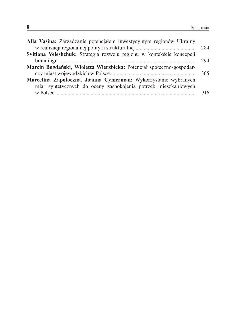| Alla Vasina: Zarządzanie potencjałem inwestycyjnym regionów Ukrainy   |     |
|-----------------------------------------------------------------------|-----|
|                                                                       | 284 |
| Svitlana Veleshchuk: Strategia rozwoju regionu w kontekście koncepcji |     |
|                                                                       | 294 |
| Marcin Bogdański, Wioletta Wierzbicka: Potencjał społeczno-gospodar-  |     |
|                                                                       | 305 |
| Marcelina Zapotoczna, Joanna Cymerman: Wykorzystanie wybranych        |     |
| miar syntetycznych do oceny zaspokojenia potrzeb mieszkaniowych       |     |
|                                                                       | 316 |
|                                                                       |     |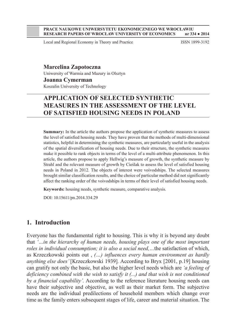#### **PRACE NAUKOWE UNIWERSYTETU EKONOMICZNEGO WE WROCŁAWIU RESEARCH PAPERS OF WROCŁAW UNIVERSITY OF ECONOMICS**

Local and Regional Economy in Theory and Practice ISSN 1899-3192

**Marcelina Zapotoczna** Uniwersity of Warmia and Mazury in Olsztyn

**Joanna Cymerman** 

Koszalin University of Technology

## **APPLICATION OF SELECTED SYNTHETIC MEASURES IN THE ASSESSMENT OF THE LEVEL OF SATISFIED HOUSING NEEDS IN POLAND**

**Summary:** In the article the authors propose the application of synthetic measures to assess the level of satisfied housing needs. They have proven that the methods of multi-dimensional statistics, helpful in determining the synthetic measures, are particularly useful in the analysis of the spatial diversification of housing needs. Due to their structure, the synthetic measures make it possible to rank objects in terms of the level of a multi-attribute phenomenon. In this article, the authors propose to apply Hellwig's measure of growth, the synthetic measure by Strahl and the relevant measure of growth by Cieślak to assess the level of satisfied housing needs in Poland in 2012. The objects of interest were voivodships. The selected measures brought similar classification results, and the choice of particular method did not significantly affect the ranking order of the voivodships in terms of their level of satisfied housing needs.

**Keywords:** housing needs, synthetic measure, comparative analysis.

DOI: 10.15611/pn.2014.334.29

## **1. Introduction**

Everyone has the fundamental right to housing. This is why it is beyond any doubt that *'…in the hierarchy of human needs, housing plays one of the most important roles in individual consumption; it is also a social need,…*the satisfaction of which, as Krzeczkowski points out , *(…) influences every human environment as hardly anything else does'* [Krzeczkowski 1939]*.* According to Bryx [2001, p.19] housing can gratify not only the basic, but also the higher level needs which are *'a feeling of deficiency combined with the wish to satisfy it (...) and that wish is not conditioned by a financial capability'.* According to the reference literature housing needs can have their subjective and objective, as well as their market form. The subjective needs are the individual predilections of household members which change over time as the family enters subsequent stages of life, career and material situation. The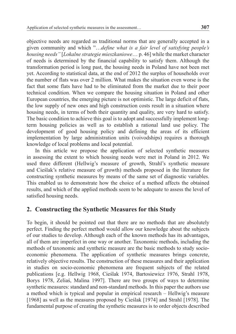objective needs are regarded as traditional norms that are generally accepted in a given community and which "…*define what is a fair level of satisfying people's housing needs"* [*Lokalne strategie mieszkaniowe*… p. 46] while the market character of needs is determined by the financial capability to satisfy them. Although the transformation period is long past, the housing needs in Poland have not been met yet. According to statistical data, at the end of 2012 the surplus of households over the number of flats was over 2 million. What makes the situation even worse is the fact that some flats have had to be eliminated from the market due to their poor technical condition. When we compare the housing situation in Poland and other European countries, the emerging picture is not optimistic. The large deficit of flats, the low supply of new ones and high construction costs result in a situation where housing needs, in terms of both their quantity and quality, are very hard to satisfy. The basic condition to achieve this goal is to adopt and successfully implement longterm housing policies as well as to establish a rational land use policy. The development of good housing policy and defining the areas of its efficient implementation by large administration units (voivodships) requires a thorough knowledge of local problems and local potential.

In this article we propose the application of selected synthetic measures in assessing the extent to which housing needs were met in Poland in 2012. We used three different (Hellwig's measure of growth, Strahl's synthetic measure and Cieślak's relative measure of growth) methods proposed in the literature for constructing synthetic measures by means of the same set of diagnostic variables. This enabled us to demonstrate how the choice of a method affects the obtained results, and which of the applied methods seem to be adequate to assess the level of satisfied housing needs.

### **2. Constructing the Synthetic Measures for this Study**

To begin, it should be pointed out that there are no methods that are absolutely perfect. Finding the perfect method would allow our knowledge about the subjects of our studies to develop. Although each of the known methods has its advantages, all of them are imperfect in one way or another. Taxonomic methods, including the methods of taxonomic and synthetic measure are the basic methods to study socioeconomic phenomena. The application of synthetic measures brings concrete, relatively objective results. The construction of these measures and their application in studies on socio-economic phenomena are frequent subjects of the related publications [e.g. Hellwig 1968, Cieślak 1974, Bartosiewicz 1976, Strahl 1978, Borys 1978, Zeliaś, Malina 1997]. There are two groups of ways to determine synthetic measures: standard and non-standard methods. In this paper the authors use a method which is typical and popular in empirical research – Hellwig's measure [1968] as well as the measures proposed by Cieślak [1974] and Strahl [1978]. The fundamental purpose of creating the synthetic measures is to order objects described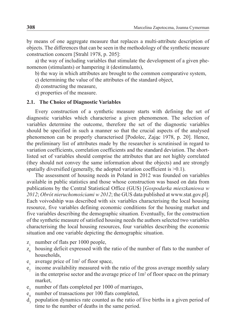by means of one aggregate measure that replaces a multi-attribute description of objects. The differences that can be seen in the methodology of the synthetic measure construction concern [Strahl 1978, p. 205]:

a) the way of including variables that stimulate the development of a given phenomenon (stimulants) or hampering it (destimulants),

b) the way in which attributes are brought to the common comparative system,

- c) determining the value of the attributes of the standard object,
- d) constructing the measure,
- e) properties of the measure.

#### **2.1. The Choice of Diagnostic Variables**

Every construction of a synthetic measure starts with defining the set of diagnostic variables which characterise a given phenomenon. The selection of variables determine the outcome, therefore the set of the diagnostic variables should be specified in such a manner so that the crucial aspects of the analysed phenomenon can be properly characterised [Podolec, Zając 1978, p. 20]. Hence, the preliminary list of attributes made by the researcher is scrutinised in regard to variation coefficients, correlation coefficients and the standard deviation. The shortlisted set of variables should comprise the attributes that are not highly correlated (they should not convey the same information about the objects) and are strongly spatially diversified (generally, the adopted variation coefficient is >0.1).

The assessment of housing needs in Poland in 2012 was founded on variables available in public statistics and those whose construction was based on data from publications by the Central Statistical Office (GUS) [*Gospodarka mieszkaniowa w 2012*; *Obrót nieruchomościami w 2012*; the GUS data published at www.stat.gov.pl]. Each voivodship was described with six variables characterising the local housing resource, five variables defining economic conditions for the housing market and five variables describing the demographic situation. Eventually, for the construction of the synthetic measure of satisfied housing needs the authors selected two variables characterising the local housing resources, four variables describing the economic situation and one variable depicting the demographic situation.

- $z_1$  number of flats per 1000 people,
- $z<sub>6</sub>$  housing deficit expressed with the ratio of the number of flats to the number of households,
- $e_1$  average price of  $1m^2$  of floor space,
- $e<sub>2</sub>$  income availability measured with the ratio of the gross average monthly salary in the enterprise sector and the average price of  $1m<sup>2</sup>$  of floor space on the primary market,
- e<sub>3</sub> number of flats completed per 1000 of marriages,
- $e_4$  number of transactions per 100 flats completed,
- d<sub>3</sub> population dynamics rate counted as the ratio of live births in a given period of time to the number of deaths in the same period.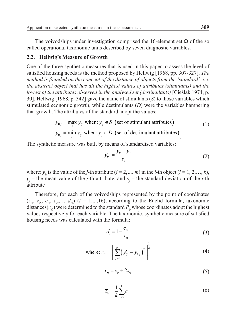The voivodships under investigation comprised the 16-element set  $\Omega$  of the so called operational taxonomic units described by seven diagnostic variables.

#### **2.2. Hellwig's Measure of Growth**

One of the three synthetic measures that is used in this paper to assess the level of satisfied housing needs is the method proposed by Hellwig [1968, pp. 307-327]. *The method is founded on the concept of the distance of objects from the 'standard', i.e. the abstract object that has all the highest values of attributes (stimulants) and the lowest of the attributes observed in the analysed set (destimulants)* [Cieślak 1974, p. 30]. Hellwig [1968, p. 342] gave the name of stimulants (*S*) to those variables which stimulated economic growth, while destimulants (*D*) were the variables hampering that growth. The attributes of the standard adopt the values:

$$
y_{0j} = \max_{i} y_{ij} \text{ when: } y_j \in S \text{ (set of stimulant attributes)}
$$
 (1)

$$
y_{0j} = \min_i y_{ij}
$$
 when:  $y_j \in D$  (set of destination attributes).

The synthetic measure was built by means of standardised variables:

$$
y'_{ij} = \frac{y_{ij} - \overline{y}_j}{s_j} \tag{2}
$$

where:  $y_i$  is the value of the *j*-th attribute ( $j = 2, ..., m$ ) in the *i*-th object ( $i = 1, 2, ..., k$ ),  $y_j$  – the mean value of the *j*-th attribute, and  $s_j$  – the standard deviation of the *j*-th attribute

Therefore, for each of the voivodships represented by the point of coordinates  $(z_{i1}, z_{i6}, e_{i1}, e_{i2}, \ldots, d_{i1})$  (*i* = 1,...,16), according to the Euclid formula, taxonomic distances( $c_{i0}$ ) were determined to the standard  $P_0$  whose coordinates adopt the highest values respectively for each variable. The taxonomic, synthetic measure of satisfied housing needs was calculated with the formula:

$$
d_i = 1 - \frac{c_{i0}}{c_0} \tag{3}
$$

where: 
$$
c_{i0} = \left[\sum_{j=1}^{m} (y'_{ij} - y_{0j})^2\right]^{\frac{1}{2}}
$$
 (4)

$$
c_0 = \overline{c}_0 + 2s_0 \tag{5}
$$

$$
\overline{c}_0 = \frac{1}{k} \sum_{i=0}^{k} c_{i0} \tag{6}
$$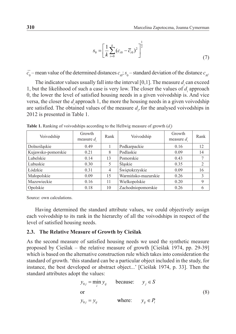$$
S_0 = \left[\frac{1}{k} \sum_{i=0}^{k} (c_{i0} - \overline{c}_{i0})^2\right]^{\frac{1}{2}}
$$
(7)

 $\bar{c}_0$  – mean value of the determined distances  $c_{i0}$ ;  $s_0$  – standard deviation of the distance  $c_{i0}$ .

The indicator values usually fall into the interval  $[0,1]$ . The measure  $d_i$  can exceed 1, but the likelihood of such a case is very low. The closer the values of  $d_i$  approach 0, the lower the level of satisfied housing needs in a given voivodship is. And vice versa, the closer the  $d_i$  approach 1, the more the housing needs in a given voivodship are satisfied. The obtained values of the measure  $d_i$ , for the analysed voivodships in 2012 is presented in Table 1.

| Voivodship         | Growth<br>measure $d$ . | Rank | Voivodship            | Growth<br>measure $d$ . | Rank |
|--------------------|-------------------------|------|-----------------------|-------------------------|------|
| Dolnoślaskie       | 0.49                    |      | Podkarpackie          | 0.16                    | 12   |
| Kujawsko-pomorskie | 0.21                    | 8    | Podlaskie             | 0.09                    | 14   |
| Lubelskie          | 0.14                    | 13   | Pomorskie             | 0.43                    |      |
| Lubuskie           | 0.30                    | 5    | Slaskie               | 0.35                    | 2    |
| Łódzkie            | 0.31                    | 4    | Świętokrzyskie        | 0.09                    | 16   |
| Małopolskie        | 0.09                    | 15   | Warmińsko-mazurskie   | 0.26                    | 3    |
| Mazowieckie        | 0.16                    | 11   | Wielkopolskie<br>0.20 |                         | 9    |
| Opolskie           | 0.18                    | 10   | Zachodniopomorskie    | 0.26                    | 6    |

**Table 1.** Ranking of voivodships according to the Hellwig measure of growth  $(d_i)$ 

Source: own calculations.

Having determined the standard attribute values, we could objectively assign each voivodship to its rank in the hierarchy of all the voivodships in respect of the level of satisfied housing needs.

#### **2.3. The Relative Measure of Growth by Cieślak**

As the second measure of satisfied housing needs we used the synthetic measure proposed by Cieślak – the relative measure of growth [Cieślak 1974, pp. 29-39] which is based on the alternative construction rule which takes into consideration the standard of growth. 'this standard can be a particular object included in the study, for instance, the best developed or abstract object...' [Cieślak 1974, p. 33]. Then the standard attributes adopt the values:

$$
y_{0j} = \min_{i} y_{ij} \quad \text{because:} \quad y_j \in S
$$
  
or  

$$
y_{0j} = y_{ij} \quad \text{where:} \quad y_{ij} \in P_i
$$
 (8)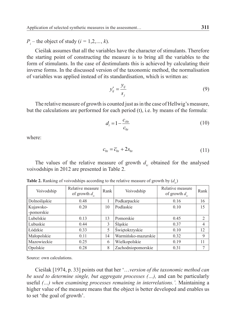$P_i$  – the object of study (*i* = 1,2,*…*, *k*).

Cieślak assumes that all the variables have the character of stimulants. Therefore the starting point of constructing the measure is to bring all the variables to the form of stimulants. In the case of destimulants this is achieved by calculating their inverse forms. In the discussed version of the taxonomic method, the normalisation of variables was applied instead of its standardisation, which is written as:

$$
y'_{ij} = \frac{y_{ij}}{s_j} \tag{9}
$$

The relative measure of growth is counted just as in the case of Hellwig's measure, but the calculations are performed for each period (t), i.e. by means of the formula:

$$
d_i = 1 - \frac{c_{i0t}}{c_{0t}} \tag{10}
$$

where:

$$
c_{0t} = \overline{c}_{0t} + 2s_{0t} \tag{11}
$$

The values of the relative measure of growth  $d_i$  obtained for the analysed voivodships in 2012 are presented in Table 2.

| Voivodship   | Relative measure<br>of growth $d_{i}$ | Rank | Voivodship                  | Relative measure<br>of growth $d_{ic}$ | Rank           |
|--------------|---------------------------------------|------|-----------------------------|----------------------------------------|----------------|
| Dolnoślaskie | 0.48                                  |      | Podkarpackie                | 0.16                                   | 16             |
| Kujawsko-    | 0.20                                  | 10   | Podlaskie                   | 0.10                                   | 15             |
| -pomorskie   |                                       |      |                             |                                        |                |
| Lubelskie    | 0.13                                  | 13   | Pomorskie                   | 0.45                                   | $\overline{2}$ |
| Lubuskie     | 0.44                                  | 3    | Slaskie                     | 0.37                                   | 4              |
| Łódzkie      | 0.33                                  | 5    | Świętokrzyskie              | 0.10                                   | 12             |
| Małopolskie  | 0.11                                  | 14   | Warmińsko-mazurskie<br>0.32 |                                        | 9              |
| Mazowieckie  | 0.25                                  | 6    | Wielkopolskie               | 0.19                                   | 11             |
| Opolskie     | 0.28                                  | 8    | Zachodniopomorskie          | 0.31                                   | 7              |

**Table 2.** Ranking of voivodships according to the relative measure of growth by  $(d_i)$ 

Source: own calculations.

Cieślak [1974, p. 33] points out that her '…*version of the taxonomic method can be used to determine single, but aggregate processes (…),* and can be particularly useful *(…) when examining processes remaining in interrelations.'.* Maintaining a higher value of the measure means that the object is better developed and enables us to set 'the goal of growth'.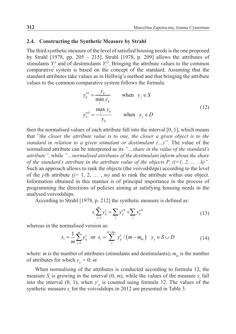#### **2.4. Constructing the Synthetic Measure by Strahl**

The third synthetic measure of the level of satisfied housing needs is the one proposed by Strahl [1978, pp. 205 – 215]. Strahl [1978, p. 209] allows the attributes of stimulants  $Y_j^S$  and of destimulants  $Y_j^D$ . Bringing the attribute values to the common comparative system is based on the concept of the standard. Assuming that the standard attributes take values as in Hellwig's method and that bringing the attribute values to the common comparative system follows the formula:

$$
y_{ij}^{\prime S} = \frac{y_{ij}}{\min_i y_{ij}} \quad \text{when} \quad y_j \in S
$$
  

$$
y_{ij}^{\prime D} = \frac{\max_j y_{ij}}{y_{ij}} \quad \text{when} \quad y_j \in D
$$
 (12)

then the normalised values of each attribute fall into the interval [0, 1], which means that "*the closer the attribute value is to one, the closer a given object is to the standard in relation to a given stimulant or destimulant (...)*". The value of the normalised attribute can be interpreted as its *"…share in the value of the standard's attribute",* while *"…normalised attributes of the destimulant inform about the share of the standard's attribute in the attribute value of the objects*  $P_i$  *(i=1, 2, ..., k)".* Such an approach allows to rank the objects (the voivodships) according to the level of the *j*-th attribute  $(j=1, 2, ..., m)$  and to rank the attribute within one object. Information obtained in this manner is of principal importance in the process of programming the directions of policies aiming at satisfying housing needs in the analysed voivodships.

According to Strahl [1978, p. 212] the synthetic measure is defined as:

$$
s_i \sum_{j=1}^{m} y'_{ij} = \sum_j y'^{s}_{ij} + \sum_j y'^{D}_{ij}
$$
 (13)

whereas in the normalised version as:

$$
s_i = \frac{1}{m} \sum_{j=1}^{m} y'_{ij} \text{ or } s_i = \sum_{j=1}^{m-m_{0i}} y'_{ij} / (m - m_{0i}) \quad y_j \in S \cup D
$$
 (14)

where: *m* is the number of attributes (stimulants and destimulants);  $m_{0i}$  is the number of attributes for which  $y_{ii} = 0$ ; *m* 

When normalising of the attributes is conducted according to formula 12, the measure  $S_i$  is growing in the interval  $(0, m)$ , while the values of the measure  $s_i$  fall into the interval  $(0, 1)$ , when  $y^i_{ij}$  is counted using formula 12. The values of the synthetic measure  $s_i$  for the voivodships in 2012 are presented in Table 3.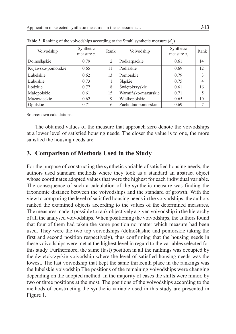| Voivodship         | Synthetic<br>measure s. | Rank           | Voivodship                  | Synthetic<br>measure s. | Rank           |
|--------------------|-------------------------|----------------|-----------------------------|-------------------------|----------------|
| Dolnoślaskie       | 0.79                    | $\overline{2}$ | Podkarpackie                | 0.61                    | 14             |
| Kujawsko-pomorskie | 0.65                    | 11             | Podlaskie                   | 0.69                    | 12             |
| Lubelskie          | 0.62                    | 13             | Pomorskie                   | 0.79                    | 3              |
| Lubuskie           | 0.73                    |                | Slaskie                     | 0.75                    | $\overline{4}$ |
| Łódzkie            | 0.77                    | 8              | Świętokrzyskie              | 0.61                    | 16             |
| Małopolskie        | 0.61                    | 15             | Warmińsko-mazurskie<br>0.71 |                         | 5              |
| Mazowieckie        | 0.62                    | 9              | Wielkopolskie<br>0.65       |                         | 10             |
| Opolskie           | 0.71                    | 6              | Zachodniopomorskie          | 0.69                    |                |

**Table 3.** Ranking of the voivodships according to the Strahl synthetic measure  $(d_i)$ 

Source: own calculations.

The obtained values of the measure that approach zero denote the voivodships at a lower level of satisfied housing needs. The closer the value is to one, the more satisfied the housing needs are.

## **3. Comparison of Methods Used in the Study**

For the purpose of constructing the synthetic variable of satisfied housing needs, the authors used standard methods where they took as a standard an abstract object whose coordinates adopted values that were the highest for each individual variable. The consequence of such a calculation of the synthetic measure was finding the taxonomic distance between the voivodships and the standard of growth. With the view to comparing the level of satisfied housing needs in the voivodships, the authors ranked the examined objects according to the values of the determined measures. The measures made it possible to rank objectively a given voivodship in the hierarchy of all the analysed voivodships. When positioning the voivodships, the authors found that four of them had taken the same position no matter which measure had been used. They were the two top voivodships (dolnośląskie and pomorskie taking the first and second position respectively), thus confirming that the housing needs in these voivodships were met at the highest level in regard to the variables selected for this study. Furthermore, the same (last) position in all the rankings was occupied by the świętokrzyskie voivodship where the level of satisfied housing needs was the lowest. The last voivodship that kept the same thirteenth place in the rankings was the lubelskie voivodship The positions of the remaining voivodships were changing depending on the adopted method. In the majority of cases the shifts were minor, by two or three positions at the most. The positions of the voivodships according to the methods of constructing the synthetic variable used in this study are presented in Figure 1.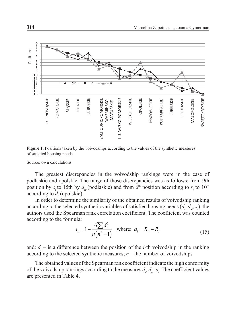

**Figure 1.** Positions taken by the voivodships according to the values of the synthetic measures of satisfied housing needs

Source: own calculations

The greatest discrepancies in the voivodship rankings were in the case of podlaskie and opolskie. The range of those discrepancies was as follows: from 9th position by  $s_i$  to 15th by  $d_{ic}$  (podlaskie) and from 6<sup>th</sup> position according to  $s_i$  to 10<sup>th</sup> according to  $d_i$  (opolskie).

In order to determine the similarity of the obtained results of voivodship ranking according to the selected synthetic variables of satisfied housing needs  $(d_i, d_i, s_i)$ , the authors used the Spearman rank correlation coefficient. The coefficient was counted according to the formula:

$$
r_s = 1 - \frac{6\sum d_i^2}{n(n^2 - 1)} \quad \text{where:} \quad d_i = R_y - R_x \tag{15}
$$

and:  $d_i$  – is a difference between the position of the *i*-th voivodship in the ranking according to the selected synthetic measures,  $n -$  the number of voivodships

The obtained values of the Spearman rank coefficient indicate the high conformity of the voivodship rankings according to the measures  $d_i d_{i}$ ,  $d_{i}$ ,  $s_i$ . The coefficient values are presented in Table 4.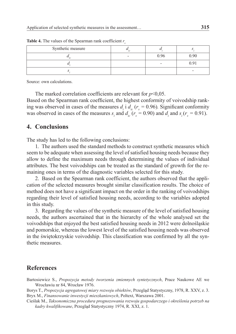| Synthetic measure |      |      |
|-------------------|------|------|
|                   | ገ ዓ6 | 0.90 |
|                   |      | በ 91 |
|                   |      |      |

**Table 4.** The values of the Spearman rank coefficient  $r_s$ 

Source: own calculations.

The marked correlation coefficients are relevant for  $p<0,05$ . Based on the Spearman rank coefficient, the highest conformity of voivodship ranking was observed in cases of the measures  $d_i$  i  $d_i$  ( $r_s$  = 0.96). Significant conformity was observed in cases of the measures  $s_i$  and  $d_i$  ( $r_s = 0.90$ ) and  $d_i$  and  $s_i$  ( $r_s = 0.91$ ).

#### **4. Conclusions**

The study has led to the following conclusions:

1. The authors used the standard methods to construct synthetic measures which seem to be adequate when assessing the level of satisfied housing needs because they allow to define the maximum needs through determining the values of individual attributes. The best voivodships can be treated as the standard of growth for the remaining ones in terms of the diagnostic variables selected for this study.

2. Based on the Spearman rank coefficient, the authors observed that the application of the selected measures brought similar classification results. The choice of method does not have a significant impact on the order in the ranking of voivodships regarding their level of satisfied housing needs, according to the variables adopted in this study.

3. Regarding the values of the synthetic measure of the level of satisfied housing needs, the authors ascertained that in the hierarchy of the whole analysed set the voivodships that enjoyed the best satisfied housing needs in 2012 were dolnośląskie and pomorskie, whereas the lowest level of the satisfied housing needs was observed in the świętokrzyskie voivodship. This classification was confirmed by all the synthetic measures.

#### **References**

Bartosiewicz S., *Propozycja metody tworzenia zmiennych syntetycznych*, Prace Naukowe AE we Wrocławiu nr 84, Wrocław 1976.

Borys T., *Propozycja agregatowej miary rozwoju obiektów*, Przegląd Statystyczny, 1978, R. XXV, z. 3. Bryx M., *Finansowanie inwestycji mieszkaniowych*, Poltext, Warszawa 2001.

Cieślak M., *Taksonomiczna procedura prognozowania rozwoju gospodarczego i określenia potrzeb na kadry kwalifikowane*, Przegląd Statystyczny 1974, R. XXI, z. 1.